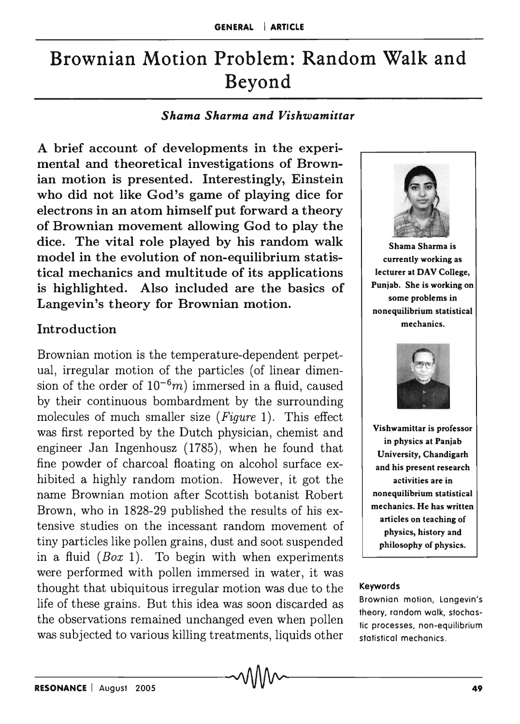# Brownian Motion Problem: Random Walk and Beyond

## *Shama Sharma and Vishwamittar*

A brief account of developments in the experimental and theoretical investigations of Brownian motion is presented. Interestingly, Einstein who did not like God's game of playing dice for electrons in an atom himself put forward a theory of Brownian movement allowing God to play the dice. The vital role played by his random walk model in the evolution of non-equilibrium statistical mechanics and multitude of its applications is highlighted. Also included are the basics of Langevin's theory for Brownian motion.

## Introduction

Brownian motion is the temperature-dependent perpetual, irregular motion of the particles (of linear dimension of the order of  $10^{-6}m$ ) immersed in a fluid, caused by their continuous bombardment by the surrounding molecules of much smaller size *(Figure* 1). This effect was first reported by the Dutch physician, chemist and engineer Jan Ingenhousz (1785), when he found that fine powder of charcoal floating on alcohol surface exhibited a highly random motion. However, it got the name Brownian motion after Scottish botanist Robert Brown, who in 1828-29 published the results of his extensive studies on the incessant random movement of tiny particles like pollen grains, dust and soot suspended in a fluid *(Box* 1). To begin with when experiments were performed with pollen immersed in water, it was thought that ubiquitous irregular motion was due to the life of these grains. But this idea was soon discarded as the observations remained unchanged even when pollen was subjected to various killing treatments, liquids other



Shama Sharma is currently working as lecturer at DAV College, Punjab. She is working on some problems in nonequilibrium statistical mechanics.



Vishwamittar is professor in physics at Panjab University, Chandigarh and his present research activities are in nonequilibrium statistical mechanics. He has written articles on teaching of physics, history and philosophy of physics.

#### Keywords

Brownian motion, Langevin's theory, random walk, stochastic processes, non-equilibrium statistical mechanics.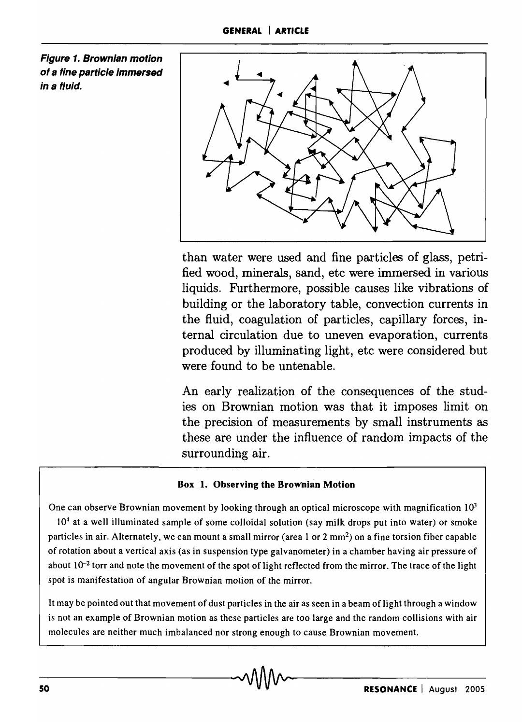Figure 1. Brownian motion of a fine particle immersed in a fluid.



than water were used and fine particles of glass, petrified wood, minerals, sand, etc were immersed in various liquids. Furthermore, possible causes like vibrations of building or the laboratory table, convection currents in the fluid, coagulation of particles, capillary forces, internal circulation due to uneven evaporation, currents produced by illuminating light, etc were considered but were found to be untenable.

An early realization of the consequences of the studies on Brownian motion was that it imposes limit on the precision of measurements by small instruments as these are under the influence of random impacts of the surrounding air.

### Box 1. Observing the Brownian Motion

One can observe Brownian movement by looking through an optical microscope with magnification  $10<sup>3</sup>$ 104 at a well illuminated sample of some colloidal solution (say milk drops put into water) or smoke particles in air. Alternately, we can mount a small mirror (area 1 or 2 mm<sup>2</sup>) on a fine torsion fiber capable of rotation about a vertical axis (as in suspension type galvanometer) in a chamber having air pressure of about  $10^{-2}$  torr and note the movement of the spot of light reflected from the mirror. The trace of the light spot is manifestation of angular Brownian motion of the mirror.

It may be pointed out that movement of dust particles in the air as seen in a beam of light through a window is not an example of Brownian motion as these particles are too large and the random collisions with air molecules are neither much imbalanced nor strong enough to cause Brownian movement.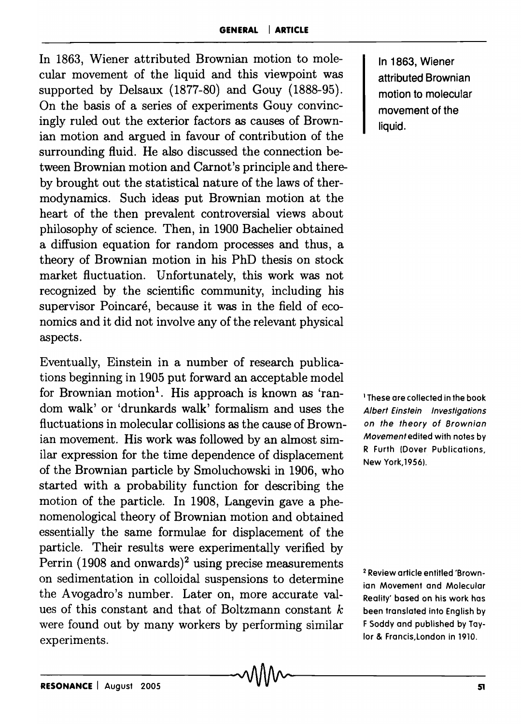In 1863, Wiener attributed Brownian motion to molecular movement of the liquid and this viewpoint was supported by Delsaux (1877-80) and Gouy (1888-95). On the basis of a series of experiments Gouy convincingly ruled out the exterior factors as causes of Brownian motion and argued in favour of contribution of the surrounding fluid. He also discussed the connection between Brownian motion and Carnot's principle and thereby brought out the statistical nature of the laws of thermodynamics. Such ideas put Brownian motion at the heart of the then prevalent controversial views about philosophy of science. Then, in 1900 Bachelier obtained a diffusion equation for random processes and thus, a theory of Brownian motion in his PhD thesis on stock market fluctuation. Unfortunately, this work was not recognized by the scientific community, including his supervisor Poincaré, because it was in the field of economics and it did not involve any of the relevant physical aspects.

Eventually, Einstein in a number of research publications beginning in 1905 put forward an acceptable model for Brownian motion<sup>1</sup>. His approach is known as 'random walk' or 'drunkards walk' formalism and uses the fluctuations in molecular collisions as the cause of Brownian movement. His work was followed by an almost similar expression for the time dependence of displacement of the Brownian particle by Smoluchowski in 1906, who started with a probability function for describing the motion of the particle. In 1908, Langevin gave a phenomenological theory of Brownian motion and obtained essentially the same formulae for displacement of the particle. Their results were experimentally verified by Perrin  $(1908 \text{ and onwards})^2$  using precise measurements on sedimentation in colloidal suspensions to determine the Avogadro's number. Later on, more accurate values of this constant and that of Boltzmann constant  $k$ were found out by many workers by performing similar experiments.

In 1863, Wiener attributed Brownian motion to molecular movement of the liquid.

<sup>1</sup> These are collected in the book. Albert Einstein Investigations on the theory of Brownian Movementedited with notes by R Furth (Dover Publications, New York.19561.

2 Review article entitled 'Brownian Movement and Molecular Reality' based on his work. has been translated into English by F Soddy and published by Taylor & Francis,London in 1910.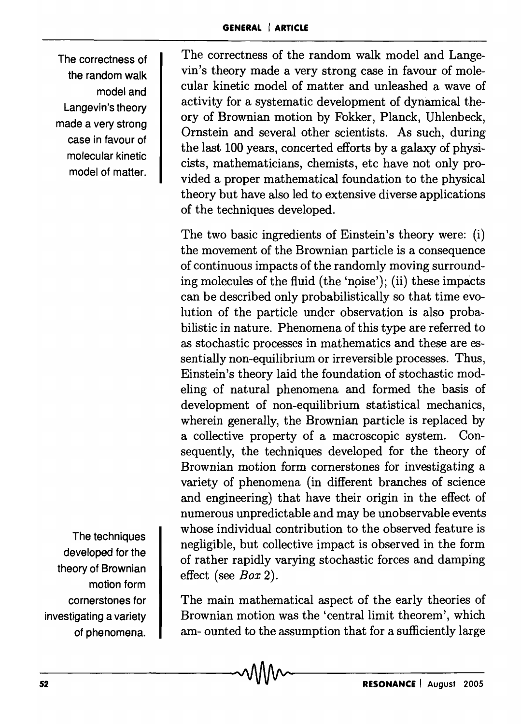The correctness of the random walk model and Langevin's theory made a very strong case in favour of molecular kinetic model of matter.

The techniques developed for the theory of Brownian motion form cornerstones for investigating a variety of phenomena.

The correctness of the random walk model and Langevin's theory made a very strong *case* in favour of molecular kinetic model of matter and unleashed a wave of activity for a systematic development of dynamical theory of Brownian motion by Fokker, Planck, Uhlenbeck, Ornstein and several other scientists. As such, during the last 100 years, concerted efforts by a galaxy of physicists, mathematicians, chemists, etc have not only provided a proper mathematical foundation to the physical theory but have also led to extensive diverse applications of the techniques developed.

The two basic ingredients of Einstein's theory were: (i) the movement of the Brownian particle is a consequence of continuous impacts of the randomly moving surrounding molecules of the fluid (the 'noise'); (ii) these impacts can be described only probabilistically so that time evolution of the particle under observation is also probabilistic in nature. Phenomena of this type are referred to *as* stochastic processes in mathematics and these are essentially non-equilibrium or irreversible processes. Thus, Einstein's theory laid the foundation of stochastic modeling of natural phenomena and formed the basis of development of non-equilibrium statistical mechanics, wherein generally, the Brownian particle is replaced by a collective property of a macroscopic system. Consequently, the techniques developed for the theory of Brownian motion form cornerstones for investigating a variety of phenomena (in different branches of science and engineering) that have their origin in the effect of numerous unpredictable and may be unobservable events whose individual contribution to the observed feature is negligible, but collective impact is observed in the form of rather rapidly varying stochastic forces and damping effect (see *Box 2).* 

The main mathematical aspect of the early theories of Brownian motion was the 'central limit theorem', which am- ounted to the assumption that for a sufficiently large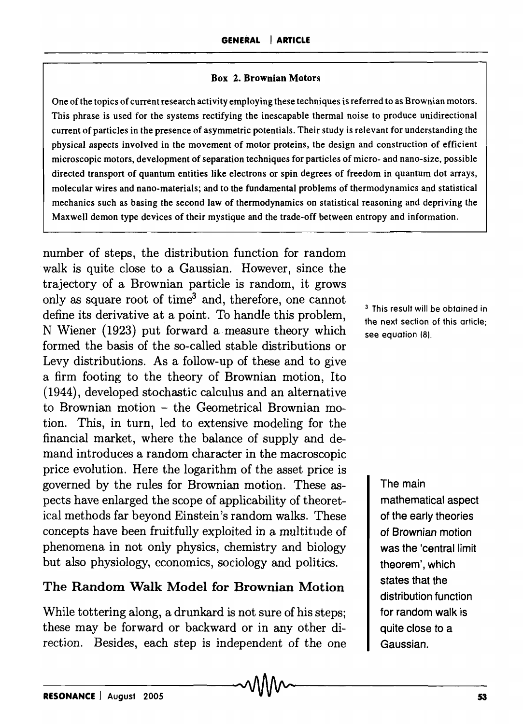#### Box 2. Brownian Motors

One of the topics of current research activity employing these techniques is referred to as Brownian motors. This phrase is used for the systems rectifying the inescapable thermal noise to produce unidirectional current of particles in the presence of asymmetric potentials. Their study is relevant for understanding the physical aspects involved in the movement of motor proteins, the design and construction of efficient microscopic motors, development of separation techniques for particles of micro- and nano-size, possible directed transport of quantum entities like electrons or spin degrees of freedom in quantum dot arrays, molecular wires and nano-materials; and to the fundamental problems of thermodynamics and statistical mechanics such as basing the second law of thermodynamics on statistical reasoning and depriving the Maxwell demon type devices of their mystique and the trade-off between entropy and information.

number of steps, the distribution function for random walk is quite close to a Gaussian. However, since the trajectory of a Brownian particle is random, it grows only as square root of time3 and, therefore, one cannot define its derivative at a point. To handle this problem, N Wiener (1923) put forward a measure theory which formed the basis of the so-called stable distributions or Levy distributions. As a follow-up of these and to give a firm footing to the theory of Brownian motion, Ito (1944), developed stochastic calculus and an alternative to Brownian motion - the Geometrical Brownian motion. This, in turn, led to extensive modeling for the financial market, where the balance of supply and demand introduces a random character in the macroscopic price evolution. Here the logarithm of the asset price is governed by the rules for Brownian motion. These aspects have enlarged the scope of applicability of theoretical methods far beyond Einstein's random walks. These concepts have been fruitfully exploited in a multitude of phenomena in not only physics, chemistry and biology but also physiology, economics, sociology and politics.

## The Random Walk Model for Brownian Motion

While tottering along, a drunkard is not sure of his steps; these may be forward or backward or in any other direction. Besides, each step is independent of the one

<sup>3</sup>This result will be obtained in the next section of this article; see equation (8).

> The main mathematical aspect of the early theories of Brownian motion was the 'central limit theorem', which states that the distribution function for random walk is quite close to a Gaussian.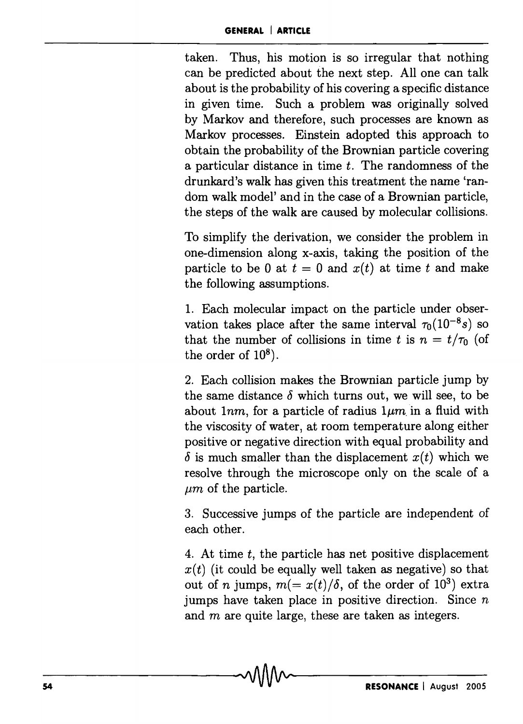taken. Thus, his motion is so irregular that nothing can be predicted about the next step. All one can talk about is the probability of his covering a specific distance in given time. Such a problem was originally solved by Markov and therefore, such processes are known as Markov processes. Einstein adopted this approach to obtain the probability of the Brownian particle covering a particular distance in time *t.* The randomness of the drunkard's walk has given this treatment the name 'random walk model' and in the *case* of a Brownian particle, the steps of the walk are caused by molecular collisions.

To simplify the derivation, we consider the problem in one-dimension along x-axis, taking the position of the particle to be 0 at  $t = 0$  and  $x(t)$  at time t and make the following assumptions.

1. Each molecular impact on the particle under observation takes place after the same interval  $\tau_0(10^{-8}s)$  so that the number of collisions in time t is  $n = t/\tau_0$  (of the order of  $10^8$ ).

2. Each collision makes the Brownian particle jump by the same distance  $\delta$  which turns out, we will see, to be about 1nm, for a particle of radius  $1\mu m$  in a fluid with the viscosity of water, at room temperature along either positive or negative direction with equal probability and  $\delta$  is much smaller than the displacement  $x(t)$  which we resolve through the microscope only on the scale of a  $\mu$ m of the particle.

3. Successive jumps of the particle are independent of each other.

4. At time  $t$ , the particle has net positive displacement  $x(t)$  (it could be equally well taken as negative) so that out of *n* jumps,  $m(=x(t)/\delta$ , of the order of 10<sup>3</sup>) extra jumps have taken place in positive direction. Since *n*  and  $m$  are quite large, these are taken as integers.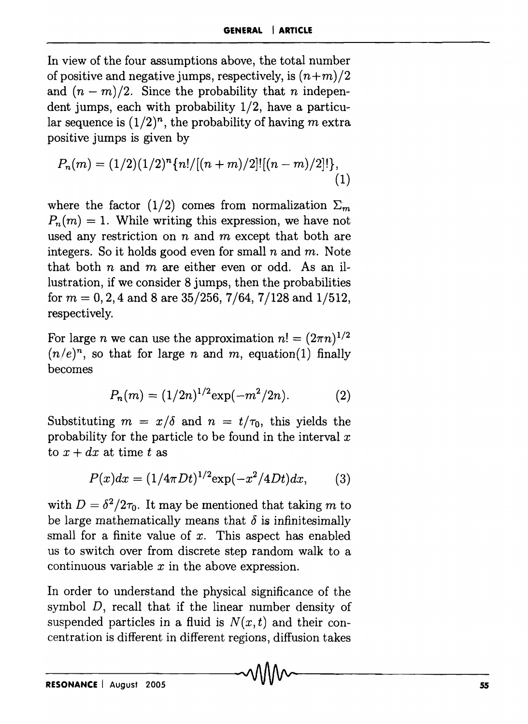In view of the four assumptions above, the total number of positive and negative jumps, respectively, is  $(n+m)/2$ and  $(n - m)/2$ . Since the probability that *n* independent jumps, each with probability 1/2, have a particular sequence is  $(1/2)^n$ , the probability of having m extra positive jumps is given by

$$
P_n(m) = (1/2)(1/2)^n \{n!/[(n+m)/2]![(n-m)/2]!\},\tag{1}
$$

where the factor (1/2) comes from normalization  $\Sigma_m$  $P_n(m) = 1$ . While writing this expression, we have not used any restriction on  $n$  and  $m$  except that both are integers. So it holds good even for small  $n$  and  $m$ . Note that both  $n$  and  $m$  are either even or odd. As an illustration, if we consider 8 jumps, then the probabilities for  $m = 0, 2, 4$  and 8 are 35/256, 7/64, 7/128 and 1/512, respectively.

For large *n* we can use the approximation  $n! = (2\pi n)^{1/2}$  $(n/e)^n$ , so that for large n and m, equation(1) finally becomes

$$
P_n(m) = (1/2n)^{1/2} \exp(-m^2/2n). \tag{2}
$$

Substituting  $m = x/\delta$  and  $n = t/\tau_0$ , this yields the probability for the particle to be found in the interval *x*  to  $x + dx$  at time *t* as

$$
P(x)dx = (1/4\pi Dt)^{1/2} \exp(-x^2/4Dt)dx, \qquad (3)
$$

with  $D = \delta^2/2\tau_0$ . It may be mentioned that taking m to be large mathematically means that  $\delta$  is infinitesimally small for a finite value of *x.* This aspect has enabled us to switch over from discrete step random walk to a continuous variable *x* in the above expression.

In order to understand the physical significance of the symbol D, recall that if the linear number density of suspended particles in a fluid is  $N(x, t)$  and their concentration is different in different regions, diffusion takes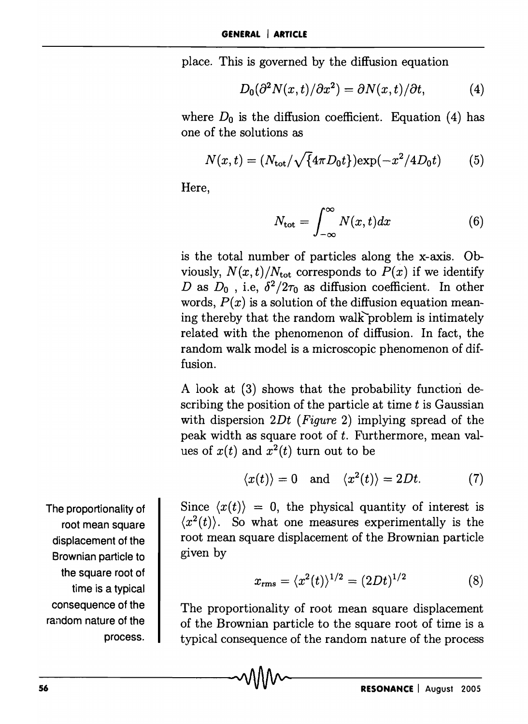place. This is governed by the diffusion equation

$$
D_0(\partial^2 N(x,t)/\partial x^2) = \partial N(x,t)/\partial t,\tag{4}
$$

where  $D_0$  is the diffusion coefficient. Equation (4) has one of the solutions as

$$
N(x,t) = (N_{\text{tot}}/\sqrt{4\pi D_0 t}) \exp(-x^2/4D_0 t)
$$
 (5)

Here,

$$
N_{\text{tot}} = \int_{-\infty}^{\infty} N(x, t) dx \tag{6}
$$

is the total number of particles along the x-axis. Obviously,  $N(x, t)/N_{\text{tot}}$  corresponds to  $P(x)$  if we identify *D* as  $D_0$ , i.e,  $\delta^2/2\tau_0$  as diffusion coefficient. In other words,  $P(x)$  is a solution of the diffusion equation meaning thereby that the random walk problem is intimately related with the phenomenon of diffusion. In fact, the random walk model is a microscopic phenomenon of diffusion.

A look at (3) shows that the probability function describing the position of the particle at time  $t$  is Gaussian with dispersion *2Dt (Figure* 2) implying spread of the peak width as square root of *t.* Furthermore, mean values of  $x(t)$  and  $x^2(t)$  turn out to be

$$
\langle x(t) \rangle = 0 \quad \text{and} \quad \langle x^2(t) \rangle = 2Dt. \tag{7}
$$

Since  $\langle x(t) \rangle = 0$ , the physical quantity of interest is  $\langle x^2(t) \rangle$ . So what one measures experimentally is the root mean square displacement of the Brownian particle given by

$$
x_{\rm rms} = \langle x^2(t) \rangle^{1/2} = (2Dt)^{1/2} \tag{8}
$$

The proportionality of root mean square displacement of the Brownian particle to the square root of time is a typical consequence of the random nature of the process

The proportionality of root mean square displacement of the Brownian particle to the square root of time is a typical consequence of the random nature of the process.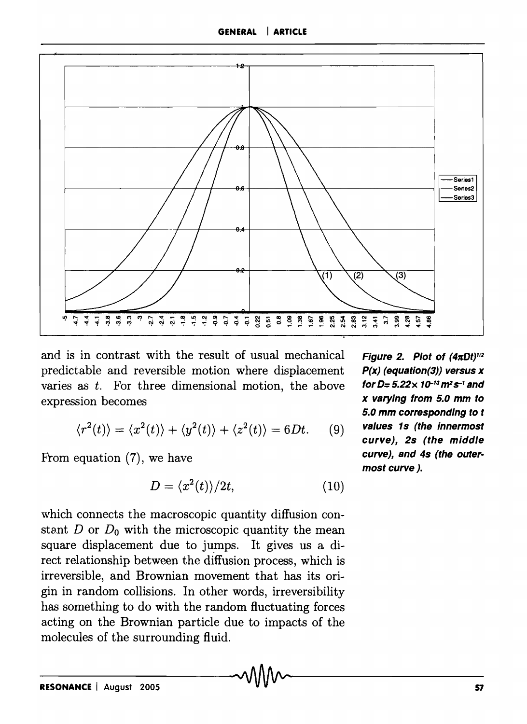



and is in contrast with the result of usual mechanical predictable and reversible motion where displacement varies as *t.* For three dimensional motion, the above expression becomes

$$
\langle r^2(t)\rangle = \langle x^2(t)\rangle + \langle y^2(t)\rangle + \langle z^2(t)\rangle = 6Dt.
$$
 (9)

From equation (7), we have

$$
D = \langle x^2(t) \rangle / 2t, \tag{10}
$$

which connects the macroscopic quantity diffusion constant *D* or  $D_0$  with the microscopic quantity the mean square displacement due to jumps. It gives us a direct relationship between the diffusion process, which is irreversible, and Brownian movement that has its origin in random collisions. In other words, irreversibility has something to do with the random fluctuating forces acting on the Brownian particle due to impacts of the molecules of the surrounding fluid.

Figure 2. Plot of  $(4\pi Dt)^{1/2}$  $P(x)$  (equation(3)) versus x for  $D = 5.22 \times 10^{-13} \text{ m}^2 \text{ s}^{-1}$  and x varying from *5.0* mm to *5.0* mm corresponding to t values 1s (the innermost curve), 2s (the middle curve), and 4s (the outermost curve ).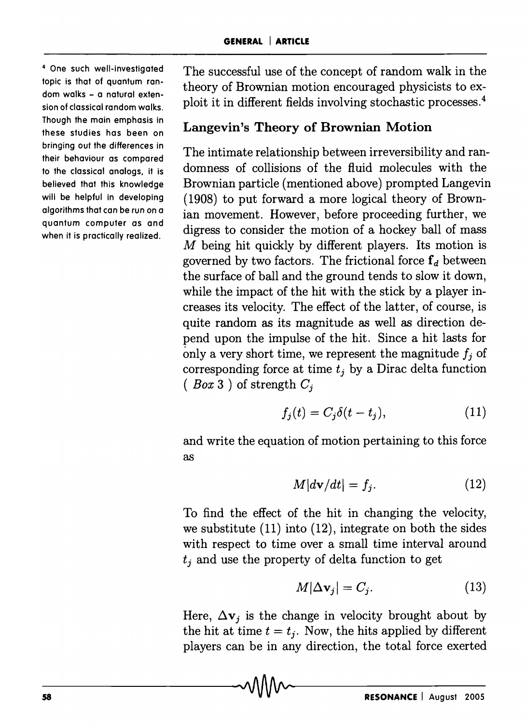<sup>4</sup>One such well-investigated topic is that of quantum random walks - a natural extension of classical random walks. Though the main emphasis in these studies has been on bringing out the differences in their behaviour as compared to the classical analogs, it is believed that this knowledge will be helpful in developing algorithms that can be run on a quantum computer as and when it is practically realized.

The successful use of the concept of random walk in the theory of Brownian motion encouraged physicists to exploit it in different fields involving stochastic processes. <sup>4</sup>

# **Langevin's Theory of Brownian Motion**

The intimate relationship between irreversibility and randomness of collisions of the fluid molecules with the Brownian particle (mentioned above) prompted Langevin (1908) to put forward a more logical theory of Brownian movement. However, before proceeding further, we digress to consider the motion of a hockey ball of mass  $M$  being hit quickly by different players. Its motion is governed by two factors. The frictional force  $f_d$  between the surface of ball and the ground tends to slow it down, while the impact of the hit with the stick by a player increases its velocity. The effect of the latter, of course, is quite random as its magnitude as well as direction depend upon the impulse of the hit. Since a hit lasts for only a very short time, we represent the magnitude  $f_i$  of corresponding force at time  $t_i$  by a Dirac delta function  $(Box 3)$  of strength  $C_i$ 

$$
f_j(t) = C_j \delta(t - t_j), \qquad (11)
$$

and write the equation of motion pertaining to this force as

$$
M|d\mathbf{v}/dt| = f_j. \tag{12}
$$

To find the effect of the hit in changing the velocity, we substitute  $(11)$  into  $(12)$ , integrate on both the sides with respect to time over a small time interval around  $t_i$  and use the property of delta function to get

$$
M|\Delta \mathbf{v}_j| = C_j. \tag{13}
$$

Here,  $\Delta v_i$  is the change in velocity brought about by the hit at time  $t = t_i$ . Now, the hits applied by different players can be in any direction, the total force exerted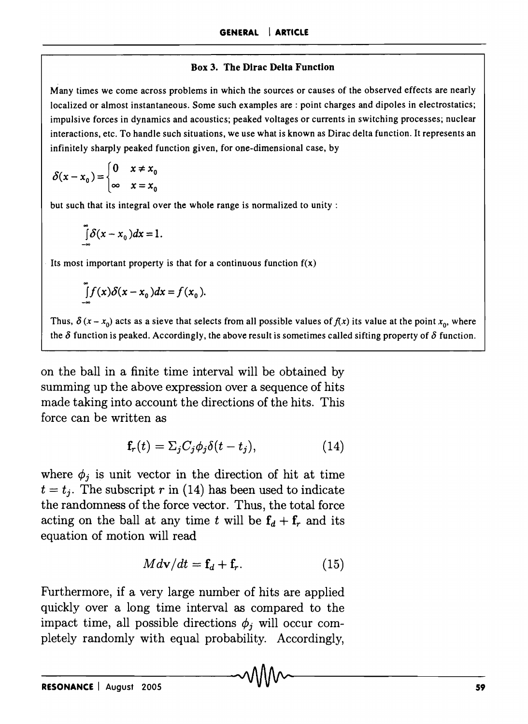#### Box 3. The Dirac Delta Function

Many times we come across problems in which the sources or causes of the observed effects are nearly localized or almost instantaneous. Some such examples are: point charges and dipoles in electrostatics; impulsive forces in dynamics and acoustics; peaked voltages or currents in switching processes; nuclear interactions, etc. To handle such situations, we use what is known as Dirac delta function. It represents an infinitely sharply peaked function given, for one-dimensional case, by

$$
\delta(x - x_0) = \begin{cases} 0 & x \neq x_0 \\ \infty & x = x_0 \end{cases}
$$

but such that its integral over the whole range is normalized to unity:

$$
\int_{-\infty}^{\infty} \delta(x - x_0) dx = 1.
$$

Its most important property is that for a continuous function  $f(x)$ 

$$
\int_{-\infty}^{\infty} f(x)\delta(x-x_0)dx = f(x_0).
$$

Thus,  $\delta(x - x_0)$  acts as a sieve that selects from all possible values of *f(x)* its value at the point  $x_0$ , where the  $\delta$  function is peaked. Accordingly, the above result is sometimes called sifting property of  $\delta$  function.

on the ball in a finite time interval will be obtained by summing up the above expression over a sequence of hits made taking into account the directions of the hits. This force can be written as

$$
\mathbf{f}_r(t) = \sum_j C_j \phi_j \delta(t - t_j), \qquad (14)
$$

where  $\phi_j$  is unit vector in the direction of hit at time  $t = t<sub>j</sub>$ . The subscript r in (14) has been used to indicate the randomness of the force vector. Thus, the total force acting on the ball at any time t will be  $f_d + f_r$  and its equation of motion will read

$$
M d\mathbf{v}/dt = \mathbf{f}_d + \mathbf{f}_r. \tag{15}
$$

Furthermore, if a very large number of hits are applied quickly over a long time interval as compared to the impact time, all possible directions  $\phi_i$  will occur completely randomly with equal probability. Accordingly,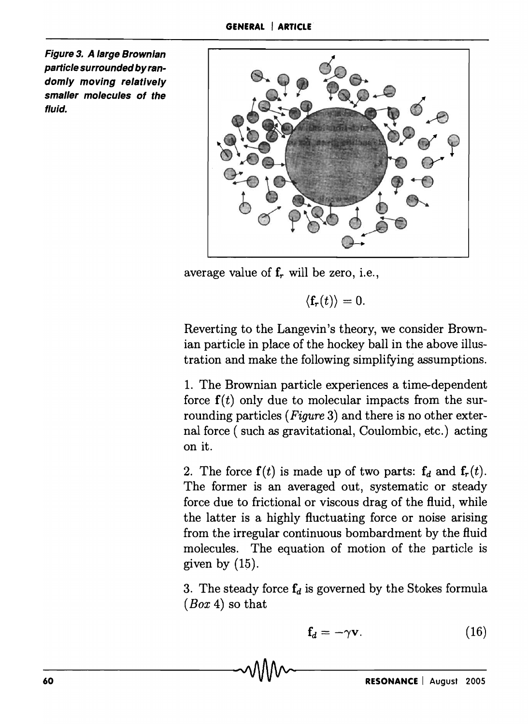Figure 3. A large Brownian particle surrounded by randomly moving relatively smaller molecules of the fluid.



average value of  $f_r$  will be zero, i.e.,

$$
\langle {\bf f}_r(t) \rangle = 0
$$

Reverting to the Langevin's theory, we consider Brownian particle in place of the hockey ball in the above illustration and make the following simplifying assumptions.

1. The Brownian particle experiences a time-dependent force  $f(t)$  only due to molecular impacts from the surrounding particles *(Figure* 3) and there is no other external force ( such as gravitational, Coulombic, etc.) acting on it.

2. The force  $f(t)$  is made up of two parts:  $f_d$  and  $f_r(t)$ . The former is an averaged out, systematic or steady force due to frictional or viscous drag of the fluid, while the latter is a highly fluctuating force or noise arising from the irregular continuous bombardment by the fluid molecules. The equation of motion of the particle is given by (15).

3. The steady force  $f_d$  is governed by the Stokes formula *(Box* 4) so that

$$
\mathbf{f}_d = -\gamma \mathbf{v}.\tag{16}
$$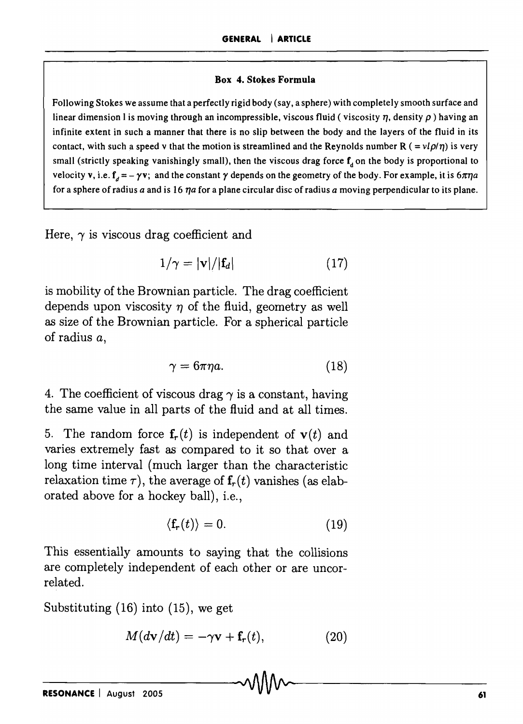#### **Box 4. Stokes Formula**

Following Stokes we assume that a perfectly rigid body (say, a sphere) with completely smooth surface and linear dimension I is moving through an incompressible, viscous fluid (viscosity  $\eta$ , density  $\rho$ ) having an infinite extent in such a manner that there is no slip between the body and the layers of the fluid in its contact, with such a speed v that the motion is streamlined and the Reynolds number R ( $= v l \rho/\eta$ ) is very small (strictly speaking vanishingly small), then the viscous drag force  $f_a$  on the body is proportional to velocity v, i.e.  $f_x = -\gamma v$ ; and the constant  $\gamma$  depends on the geometry of the body. For example, it is 6 $\pi n a$ for a sphere of radius a and is 16  $\eta a$  for a plane circular disc of radius a moving perpendicular to its plane.

Here,  $\gamma$  is viscous drag coefficient and

$$
1/\gamma = |\mathbf{v}|/|\mathbf{f}_d| \tag{17}
$$

is mobility of the Brownian particle. The drag coefficient depends upon viscosity  $\eta$  of the fluid, geometry as well as size of the Brownian particle. For a spherical particle of radius *a,* 

$$
\gamma = 6\pi \eta a. \tag{18}
$$

4. The coefficient of viscous drag  $\gamma$  is a constant, having the same value in all parts of the fluid and at all times.

5. The random force  $f_r(t)$  is independent of  $v(t)$  and varies extremely fast as compared to it so that over a long time interval (much larger than the characteristic relaxation time  $\tau$ ), the average of  $f_r(t)$  vanishes (as elaborated above for a hockey ball), i.e.,

$$
\langle \mathbf{f}_r(t) \rangle = 0. \tag{19}
$$

This essentially amounts to saying that the collisions are completely independent of each other or are uncorrelated.

Substituting (16) into (15), we get

$$
M(d\mathbf{v}/dt) = -\gamma \mathbf{v} + \mathbf{f}_r(t), \qquad (20)
$$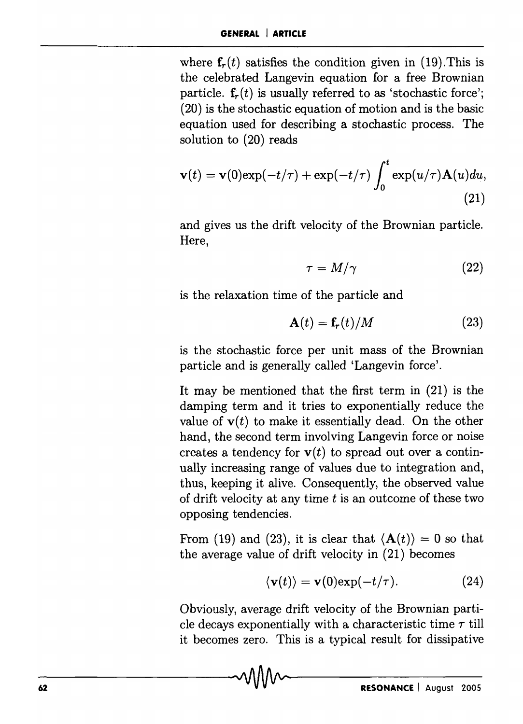where  $f_r(t)$  satisfies the condition given in (19). This is the celebrated Langevin equation for a free Brownian particle.  $f_r(t)$  is usually referred to as 'stochastic force'; (20) is the stochastic equation of motion and is the basic equation used for describing a stochastic process. The solution to (20) reads

$$
\mathbf{v}(t) = \mathbf{v}(0) \exp(-t/\tau) + \exp(-t/\tau) \int_0^t \exp(u/\tau) \mathbf{A}(u) du,
$$
\n(21)

and gives us the drift velocity of the Brownian particle. Here,

$$
\tau = M/\gamma \tag{22}
$$

is the relaxation time of the particle and

$$
\mathbf{A}(t) = \mathbf{f}_r(t)/M \tag{23}
$$

is the stochastic force per unit mass of the Brownian particle and is generally called 'Langevin force'.

It may be mentioned that the first term in (21) is the damping term and it tries to exponentially reduce the value of  $v(t)$  to make it essentially dead. On the other hand, the second term involving Langevin force or noise creates a tendency for  $v(t)$  to spread out over a continually increasing range of values due to integration and, thus, keeping it alive. Consequently, the observed value of drift velocity at any time *t* is an outcome of these two opposing tendencies.

From (19) and (23), it is clear that  $\langle \mathbf{A}(t) \rangle = 0$  so that the average value of drift velocity in (21) becomes

$$
\langle \mathbf{v}(t) \rangle = \mathbf{v}(0) \exp(-t/\tau). \tag{24}
$$

Obviously, average drift velocity of the Brownian particle decays exponentially with a characteristic time *T* till it becomes zero. This is a typical result for dissipative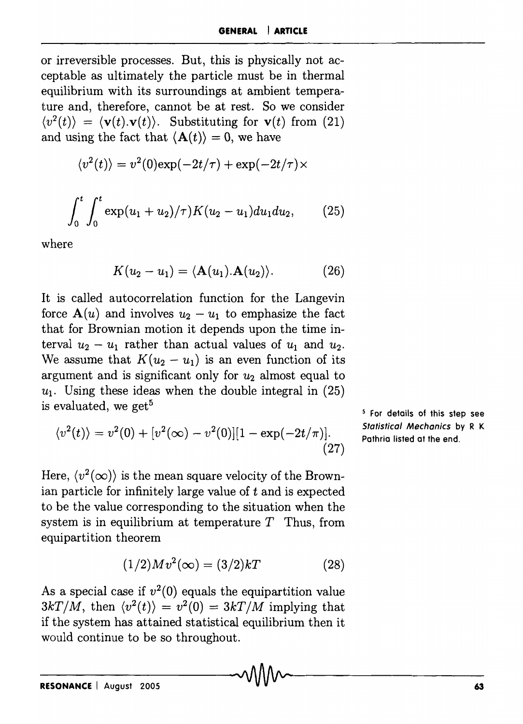or irreversible processes. But, this is physically not acceptable as ultimately the particle must be in thermal equilibrium with its surroundings at ambient temperature and, therefore, cannot be at rest. So we consider  $\langle v^2(t) \rangle = \langle v(t) . v(t) \rangle$ . Substituting for  $v(t)$  from (21) and using the fact that  $\langle \mathbf{A}(t) \rangle = 0$ , we have

$$
\langle v^2(t)\rangle=v^2(0){\rm exp}(-2t/\tau)+{\rm exp}(-2t/\tau)\times
$$

$$
\int_0^t \int_0^t \exp(u_1 + u_2) / \tau) K(u_2 - u_1) du_1 du_2, \qquad (25)
$$

where

$$
K(u_2 - u_1) = \langle \mathbf{A}(u_1). \mathbf{A}(u_2) \rangle.
$$
 (26)

It is called autocorrelation function for the Langevin force  $A(u)$  and involves  $u_2 - u_1$  to emphasize the fact that for Brownian motion it depends upon the time interval  $u_2 - u_1$  rather than actual values of  $u_1$  and  $u_2$ . We assume that  $K(u_2 - u_1)$  is an even function of its argument and is significant only for  $u_2$  almost equal to  $u_1$ . Using these ideas when the double integral in (25) is evaluated, we get<sup>5</sup>

$$
\langle v^2(t) \rangle = v^2(0) + [v^2(\infty) - v^2(0)][1 - \exp(-2t/\pi)].
$$
\n(27)

5 For details of this step see Statistical Mechanics by R K Pathria listed at the end.

Here,  $\langle v^2(\infty) \rangle$  is the mean square velocity of the Brownian particle for infinitely large value of *t* and is expected to be the value corresponding to the situation when the system is in equilibrium at temperature *T* Thus, from equipartition theorem

$$
(1/2)Mv2(\infty) = (3/2)kT
$$
 (28)

 $\sim$ 

As a special case if  $v^2(0)$  equals the equipartition value  $3kT/M$ , then  $\langle v^2(t) \rangle = v^2(0) = 3kT/M$  implying that if the system has attained statistical equilibrium then it would continue to be so throughout.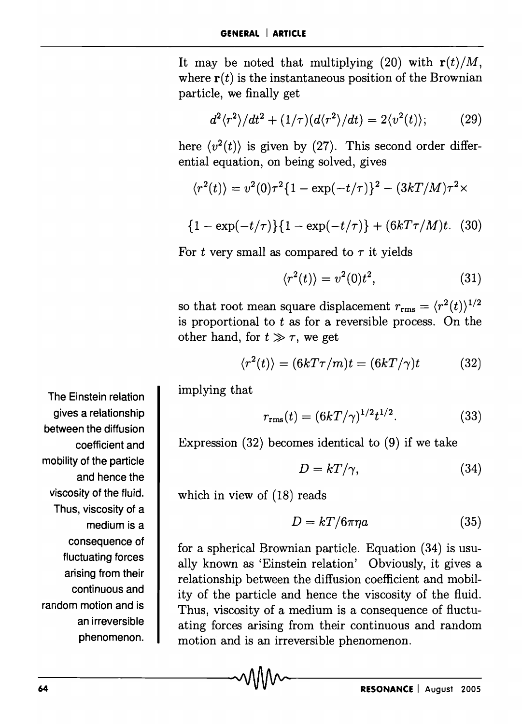It may be noted that multiplying (20) with  $r(t)/M$ , where  $r(t)$  is the instantaneous position of the Brownian particle, we finally get

$$
d^2\langle r^2\rangle/dt^2 + (1/\tau)(d\langle r^2\rangle/dt) = 2\langle v^2(t)\rangle; \tag{29}
$$

here  $\langle v^2(t) \rangle$  is given by (27). This second order differential equation, on being solved, gives

$$
\langle r^2(t) \rangle = v^2(0)\tau^2 \{ 1 - \exp(-t/\tau) \}^2 - (3kT/M)\tau^2 \times
$$

$$
\{ 1 - \exp(-t/\tau) \} \{ 1 - \exp(-t/\tau) \} + (6kT\tau/M)t. \quad (30)
$$

For t very small as compared to  $\tau$  it yields

$$
\langle r^2(t) \rangle = v^2(0)t^2, \tag{31}
$$

so that root mean square displacement  $r_{\text{rms}} = \langle r^2(t) \rangle^{1/2}$ is proportional to *t* as for a reversible process. On the other hand, for  $t \gg \tau$ , we get

$$
\langle r^2(t) \rangle = (6kT\tau/m)t = (6kT/\gamma)t \tag{32}
$$

implying that

$$
r_{\rm rms}(t) = (6kT/\gamma)^{1/2} t^{1/2}.
$$
 (33)

Expression (32) becomes identical to (9) if we take

$$
D = kT/\gamma, \tag{34}
$$

which in view of (18) reads

$$
D = kT/6\pi\eta a \tag{35}
$$

for a spherical Brownian particle. Equation (34) is usually known as 'Einstein relation' Obviously, it gives a relationship between the diffusion coefficient and mobility of the particle and hence the viscosity of the fluid. Thus, viscosity of a medium is a consequence of fluctuating forces arising from their continuous and random motion and is an irreversible phenomenon.

The Einstein relation gives a relationship between the diffusion coefficient and mobility of the particle and hence the viscosity of the fluid. Thus, viscosity of a medium is a consequence of fluctuating forces arising from their continuous and random motion and is an irreversible phenomenon.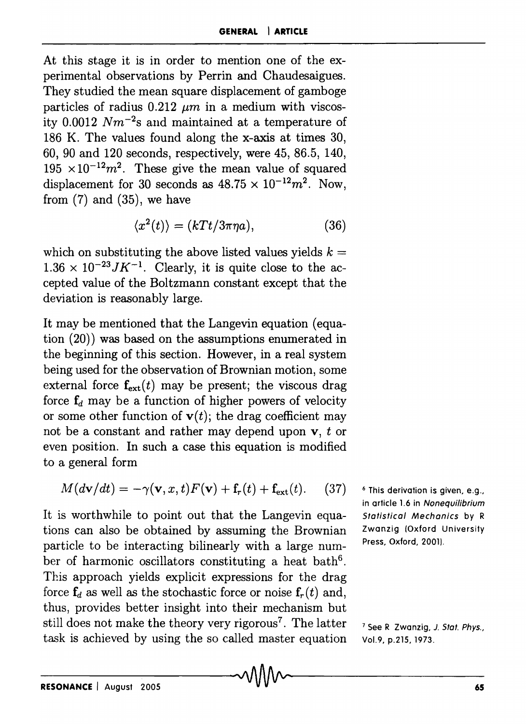At this stage it is in order to mention one of the experimental observations by Perrin and Chaudesaigues. They studied the mean square displacement of gamboge particles of radius  $0.212 \ \mu m$  in a medium with viscosity 0.0012  $Nm^{-2}$ s and maintained at a temperature of 186 K. The values found along the x-axis at times 30, 60, 90 and 120 seconds, respectively, were 45, 86.5, 140,  $195 \times 10^{-12} m^2$ . These give the mean value of squared displacement for 30 seconds as  $48.75 \times 10^{-12} m^2$ . Now, from (7) and (35), we have

$$
\langle x^2(t)\rangle = (kTt/3\pi\eta a),\qquad(36)
$$

which on substituting the above listed values yields  $k =$  $1.36 \times 10^{-23}$  JK<sup>-1</sup>. Clearly, it is quite close to the accepted value of the Boltzmann constant except that the deviation is reasonably large.

It may be mentioned that the Langevin equation (equation (20)) was based on the assumptions enumerated in the beginning of this section. However, in a real system being used for the observation of Brownian motion, some external force  $f_{ext}(t)$  may be present; the viscous drag force  $f_d$  may be a function of higher powers of velocity or some other function of  $\mathbf{v}(t)$ ; the drag coefficient may not be a constant and rather may depend upon v, *t* or even position. In such a case this equation is modified to a general form

$$
M(d\mathbf{v}/dt) = -\gamma(\mathbf{v}, x, t)F(\mathbf{v}) + \mathbf{f}_r(t) + \mathbf{f}_{\text{ext}}(t). \tag{37}
$$

It is worthwhile to point out that the Langevin equations can also be obtained by assuming the Brownian particle to be interacting bilinearly with a large number of harmonic oscillators constituting a heat bath<sup>6</sup>. This approach yields explicit expressions for the drag force  $f_d$  as well as the stochastic force or noise  $f_r(t)$  and, thus, provides better insight into their mechanism but still does not make the theory very rigorous<sup>7</sup>. The latter task is achieved by using the so called master equation *M(dv* / *dt)* = -,(v, *x, t)F(v)* + *fret)* + *fext(t).* (37) 6 This derivation is given, e.g., in article 1.6 in Nonequilibrium Statistical Mechanics by R Zwanzig (Oxford University Press, Oxford, 2001).

<sup>7</sup> See R Zwanzig, J. Stat. Phys., Vo1.9, p.21S, 1973.